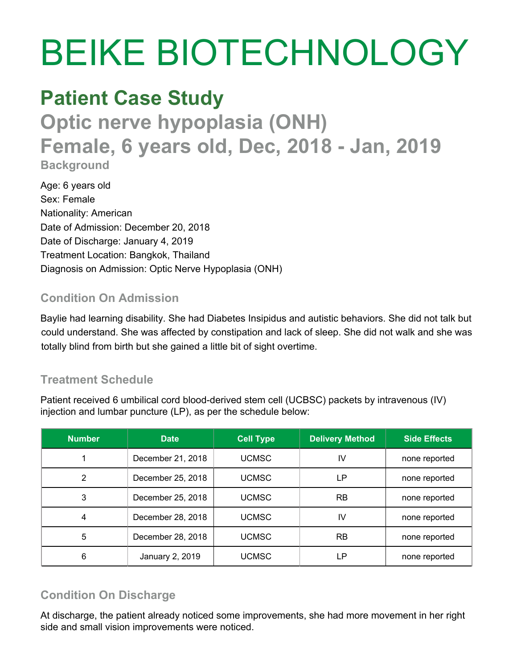# BEIKE BIOTECHNOLOGY

# **Patient Case Study**

**Optic nerve hypoplasia (ONH) Female, 6 years old, Dec, 2018 - Jan, 2019 Background**

Age: 6 years old Sex: Female Nationality: American Date of Admission: December 20, 2018 Date of Discharge: January 4, 2019 Treatment Location: Bangkok, Thailand Diagnosis on Admission: Optic Nerve Hypoplasia (ONH)

### **Condition On Admission**

Baylie had learning disability. She had Diabetes Insipidus and autistic behaviors. She did not talk but could understand. She was affected by constipation and lack of sleep. She did not walk and she was totally blind from birth but she gained a little bit of sight overtime.

## **Treatment Schedule**

Patient received 6 umbilical cord blood-derived stem cell (UCBSC) packets by intravenous (IV) injection and lumbar puncture (LP), as per the schedule below:

| <b>Number</b> | <b>Date</b>       | <b>Cell Type</b> | <b>Delivery Method</b> | <b>Side Effects</b> |
|---------------|-------------------|------------------|------------------------|---------------------|
|               | December 21, 2018 | <b>UCMSC</b>     | IV                     | none reported       |
| 2             | December 25, 2018 | <b>UCMSC</b>     | LP                     | none reported       |
| 3             | December 25, 2018 | <b>UCMSC</b>     | RB                     | none reported       |
| 4             | December 28, 2018 | <b>UCMSC</b>     | IV                     | none reported       |
| 5             | December 28, 2018 | <b>UCMSC</b>     | RB                     | none reported       |
| 6             | January 2, 2019   | <b>UCMSC</b>     | LP.                    | none reported       |

# **Condition On Discharge**

At discharge, the patient already noticed some improvements, she had more movement in her right side and small vision improvements were noticed.